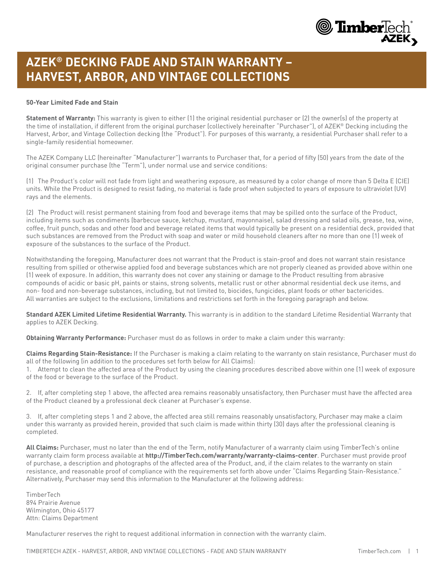

## **AZEK® DECKING FADE AND STAIN WARRANTY – HARVEST, ARBOR, AND VINTAGE COLLECTIONS**

## **50-Year Limited Fade and Stain**

**Statement of Warranty:** This warranty is given to either (1) the original residential purchaser or (2) the owner(s) of the property at the time of installation, if different from the original purchaser (collectively hereinafter "Purchaser"), of AZEK® Decking including the Harvest, Arbor, and Vintage Collection decking (the "Product"). For purposes of this warranty, a residential Purchaser shall refer to a single-family residential homeowner.

The AZEK Company LLC (hereinafter "Manufacturer") warrants to Purchaser that, for a period of fifty (50) years from the date of the original consumer purchase (the "Term"), under normal use and service conditions:

(1) The Product's color will not fade from light and weathering exposure, as measured by a color change of more than 5 Delta E (CIE) units. While the Product is designed to resist fading, no material is fade proof when subjected to years of exposure to ultraviolet (UV) rays and the elements.

(2) The Product will resist permanent staining from food and beverage items that may be spilled onto the surface of the Product, including items such as condiments (barbecue sauce, ketchup, mustard, mayonnaise), salad dressing and salad oils, grease, tea, wine, coffee, fruit punch, sodas and other food and beverage related items that would typically be present on a residential deck, provided that such substances are removed from the Product with soap and water or mild household cleaners after no more than one (1) week of exposure of the substances to the surface of the Product.

Notwithstanding the foregoing, Manufacturer does not warrant that the Product is stain-proof and does not warrant stain resistance resulting from spilled or otherwise applied food and beverage substances which are not properly cleaned as provided above within one (1) week of exposure. In addition, this warranty does not cover any staining or damage to the Product resulting from abrasive compounds of acidic or basic pH, paints or stains, strong solvents, metallic rust or other abnormal residential deck use items, and non- food and non-beverage substances, including, but not limited to, biocides, fungicides, plant foods or other bactericides. All warranties are subject to the exclusions, limitations and restrictions set forth in the foregoing paragraph and below.

**Standard AZEK Limited Lifetime Residential Warranty.** This warranty is in addition to the standard Lifetime Residential Warranty that applies to AZEK Decking.

**Obtaining Warranty Performance:** Purchaser must do as follows in order to make a claim under this warranty:

**Claims Regarding Stain-Resistance:** If the Purchaser is making a claim relating to the warranty on stain resistance, Purchaser must do all of the following (in addition to the procedures set forth below for All Claims):

1. Attempt to clean the affected area of the Product by using the cleaning procedures described above within one (1) week of exposure of the food or beverage to the surface of the Product.

2. If, after completing step 1 above, the affected area remains reasonably unsatisfactory, then Purchaser must have the affected area of the Product cleaned by a professional deck cleaner at Purchaser's expense.

3. If, after completing steps 1 and 2 above, the affected area still remains reasonably unsatisfactory, Purchaser may make a claim under this warranty as provided herein, provided that such claim is made within thirty (30) days after the professional cleaning is completed.

**All Claims:** Purchaser, must no later than the end of the Term, notify Manufacturer of a warranty claim using TimberTech's online warranty claim form process available at **[http://TimberTech.com/warranty/warranty-claims-center](https://www.timbertech.com/about-warranties/warranty-support/)**. Purchaser must provide proof of purchase, a description and photographs of the affected area of the Product, and, if the claim relates to the warranty on stain resistance, and reasonable proof of compliance with the requirements set forth above under "Claims Regarding Stain-Resistance." Alternatively, Purchaser may send this information to the Manufacturer at the following address:

**TimberTech** 894 Prairie Avenue Wilmington, Ohio 45177 Attn: Claims Department

Manufacturer reserves the right to request additional information in connection with the warranty claim.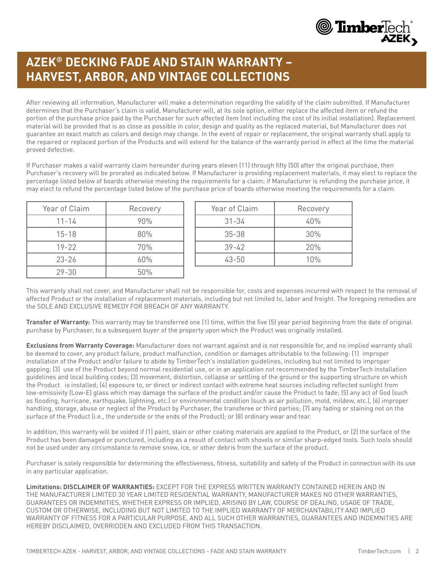

## **AZEK® DECKING FADE AND STAIN WARRANTY – HARVEST, ARBOR, AND VINTAGE COLLECTIONS**

After reviewing all information, Manufacturer will make a determination regarding the validity of the claim submitted. If Manufacturer determines that the Purchaser's claim is valid, Manufacturer will, at its sole option, either replace the affected item or refund the portion of the purchase price paid by the Purchaser for such affected item (not including the cost of its initial installation). Replacement material will be provided that is as close as possible in color, design and quality as the replaced material, but Manufacturer does not guarantee an exact match as colors and design may change. In the event of repair or replacement, the original warranty shall apply to the repaired or replaced portion of the Products and will extend for the balance of the warranty period in effect at the time the material proved defective.

If Purchaser makes a valid warranty claim hereunder during years eleven (11) through fifty (50) after the original purchase, then Purchaser's recovery will be prorated as indicated below. If Manufacturer is providing replacement materials, it may elect to replace the percentage listed below of boards otherwise meeting the requirements for a claim; if Manufacturer is refunding the purchase price, it may elect to refund the percentage listed below of the purchase price of boards otherwise meeting the requirements for a claim.

| Year of Claim | Recovery |
|---------------|----------|
| $11 - 14$     | 90%      |
| $15 - 18$     | 80%      |
| $19 - 22$     | 70%      |
| $23 - 26$     | 60%      |
| $79 - 30$     | 50%      |

|           | Recovery |
|-----------|----------|
| $31 - 34$ | 40%      |
| $35 - 38$ | 30%      |
| $39 - 42$ | 20%      |
| $43 - 50$ | 10%      |

This warranty shall not cover, and Manufacturer shall not be responsible for, costs and expenses incurred with respect to the removal of affected Product or the installation of replacement materials, including but not limited to, labor and freight. The foregoing remedies are the SOLE AND EXCLUSIVE REMEDY FOR BREACH OF ANY WARRANTY.

**Transfer of Warranty:** This warranty may be transferred one (1) time, within the five (5) year period beginning from the date of original purchase by Purchaser, to a subsequent buyer of the property upon which the Product was originally installed.

**Exclusions from Warranty Coverage:** Manufacturer does not warrant against and is not responsible for, and no implied warranty shall be deemed to cover, any product failure, product malfunction, condition or damages attributable to the following: (1) improper installation of the Product and/or failure to abide by TimberTech's installation guidelines, including but not limited to improper gapping; (3) use of the Product beyond normal residential use, or in an application not recommended by the TimberTech installation guidelines and local building codes; (3) movement, distortion, collapse or settling of the ground or the supporting structure on which the Product is installed; (4) exposure to, or direct or indirect contact with extreme heat sources including reflected sunlight from low-emissivity (Low-E) glass which may damage the surface of the product and/or cause the Product to fade; (5) any act of God (such as flooding, hurricane, earthquake, lightning, etc.) or environmental condition (such as air pollution, mold, mildew, etc.), (6) improper handling, storage, abuse or neglect of the Product by Purchaser, the transferee or third parties; (7) any fading or staining not on the surface of the Product (i.e., the underside or the ends of the Product); or (8) ordinary wear and tear.

In addition, this warranty will be voided if (1) paint, stain or other coating materials are applied to the Product, or (2) the surface of the Product has been damaged or punctured, including as a result of contact with shovels or similar sharp-edged tools. Such tools should not be used under any circumstance to remove snow, ice, or other debris from the surface of the product.

Purchaser is solely responsible for determining the effectiveness, fitness, suitability and safety of the Product in connection with its use in any particular application.

**Limitations: DISCLAIMER OF WARRANTIES:** EXCEPT FOR THE EXPRESS WRITTEN WARRANTY CONTAINED HEREIN AND IN THE MANUFACTURER LIMITED 30 YEAR LIMITED RESIDENTIAL WARRANTY, MANUFACTURER MAKES NO OTHER WARRANTIES, GUARANTEES OR INDEMNITIES, WHETHER EXPRESS OR IMPLIED, ARISING BY LAW, COURSE OF DEALING, USAGE OF TRADE, CUSTOM OR OTHERWISE, INCLUDING BUT NOT LIMITED TO THE IMPLIED WARRANTY OF MERCHANTABILITY AND IMPLIED WARRANTY OF FITNESS FOR A PARTICULAR PURPOSE, AND ALL SUCH OTHER WARRANTIES, GUARANTEES AND INDEMNITIES ARE HEREBY DISCLAIMED, OVERRIDDEN AND EXCLUDED FROM THIS TRANSACTION.